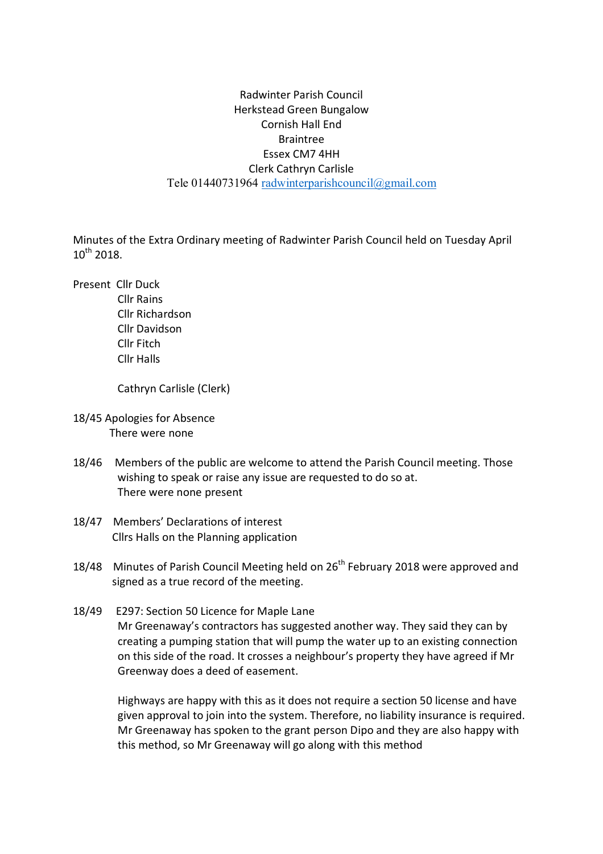## Radwinter Parish Council Herkstead Green Bungalow Cornish Hall End Braintree Essex CM7 4HH Clerk Cathryn Carlisle Tele 01440731964 radwinterparishcouncil@gmail.com

Minutes of the Extra Ordinary meeting of Radwinter Parish Council held on Tuesday April  $10^{th}$  2018.

Present Cllr Duck

 Cllr Rains Cllr Richardson Cllr Davidson Cllr Fitch Cllr Halls

Cathryn Carlisle (Clerk)

- 18/45 Apologies for Absence There were none
- 18/46 Members of the public are welcome to attend the Parish Council meeting. Those wishing to speak or raise any issue are requested to do so at. There were none present
- 18/47 Members' Declarations of interest Cllrs Halls on the Planning application
- 18/48 Minutes of Parish Council Meeting held on 26<sup>th</sup> February 2018 were approved and signed as a true record of the meeting.
- 18/49 E297: Section 50 Licence for Maple Lane Mr Greenaway's contractors has suggested another way. They said they can by creating a pumping station that will pump the water up to an existing connection on this side of the road. It crosses a neighbour's property they have agreed if Mr Greenway does a deed of easement.

Highways are happy with this as it does not require a section 50 license and have given approval to join into the system. Therefore, no liability insurance is required. Mr Greenaway has spoken to the grant person Dipo and they are also happy with this method, so Mr Greenaway will go along with this method